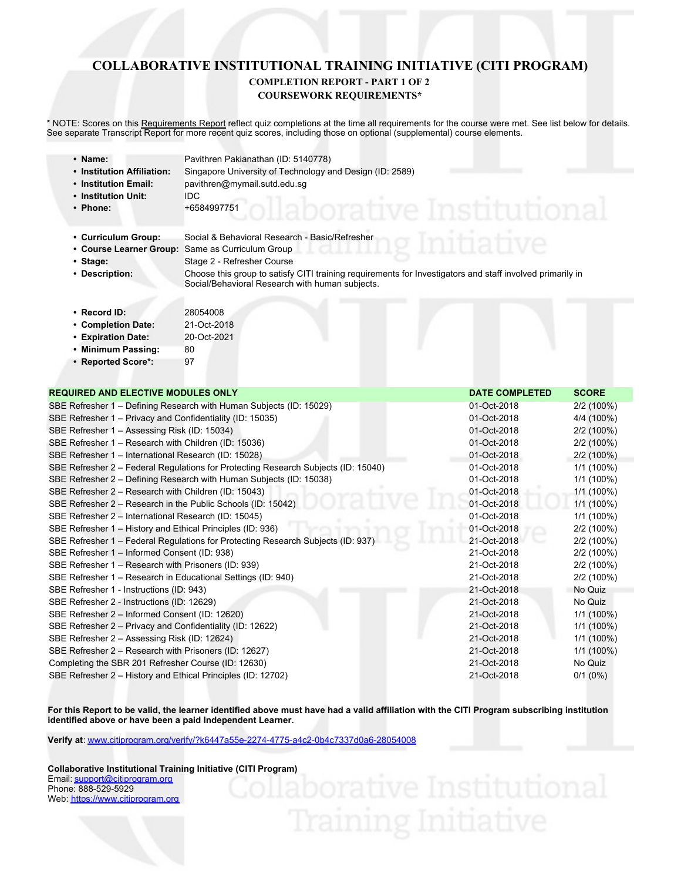## **COLLABORATIVE INSTITUTIONAL TRAINING INITIATIVE (CITI PROGRAM)**

#### **COMPLETION REPORT - PART 1 OF 2 COURSEWORK REQUIREMENTS\***

\* NOTE: Scores on this Requirements Report reflect quiz completions at the time all requirements for the course were met. See list below for details. See separate Transcript Report for more recent quiz scores, including those on optional (supplemental) course elements.

| • Name:<br>• Institution Affiliation:<br>• Institution Email:<br>• Institution Unit:<br>• Phone: | Pavithren Pakianathan (ID: 5140778)<br>Singapore University of Technology and Design (ID: 2589)<br>pavithren@mymail.sutd.edu.sg<br><b>IDC</b><br>+6584997751<br>DOIATIVA                                                                                                 |
|--------------------------------------------------------------------------------------------------|--------------------------------------------------------------------------------------------------------------------------------------------------------------------------------------------------------------------------------------------------------------------------|
| • Curriculum Group:<br>• Course Learner Group:<br>• Stage:<br>• Description:                     | Social & Behavioral Research - Basic/Refresher<br>Same as Curriculum Group<br>Stage 2 - Refresher Course<br>Choose this group to satisfy CITI training requirements for Investigators and staff involved primarily in<br>Social/Behavioral Research with human subjects. |
| $\cdot$ Record ID:<br>• Completion Date:<br>• Expiration Date:                                   | 28054008<br>21-Oct-2018<br>20-Oct-2021                                                                                                                                                                                                                                   |

- **Minimum Passing:** 80
- **Reported Score\*:** 97

| <b>REQUIRED AND ELECTIVE MODULES ONLY</b>                                          | <b>DATE COMPLETED</b> | <b>SCORE</b> |
|------------------------------------------------------------------------------------|-----------------------|--------------|
| SBE Refresher 1 – Defining Research with Human Subjects (ID: 15029)                | 01-Oct-2018           | 2/2 (100%)   |
| SBE Refresher 1 – Privacy and Confidentiality (ID: 15035)                          | 01-Oct-2018           | 4/4 (100%)   |
| SBE Refresher 1 - Assessing Risk (ID: 15034)                                       | 01-Oct-2018           | 2/2 (100%)   |
| SBE Refresher 1 – Research with Children (ID: 15036)                               | 01-Oct-2018           | 2/2 (100%)   |
| SBE Refresher 1 - International Research (ID: 15028)                               | 01-Oct-2018           | $2/2(100\%)$ |
| SBE Refresher 2 – Federal Regulations for Protecting Research Subjects (ID: 15040) | 01-Oct-2018           | $1/1(100\%)$ |
| SBE Refresher 2 – Defining Research with Human Subjects (ID: 15038)                | 01-Oct-2018           | $1/1(100\%)$ |
| SBE Refresher 2 - Research with Children (ID: 15043)                               | 01-Oct-2018           | $1/1(100\%)$ |
| SBE Refresher 2 – Research in the Public Schools (ID: 15042)                       | 01-Oct-2018           | $1/1(100\%)$ |
| SBE Refresher 2 – International Research (ID: 15045)                               | 01-Oct-2018           | $1/1(100\%)$ |
| SBE Refresher 1 - History and Ethical Principles (ID: 936)                         | 01-Oct-2018           | 2/2 (100%)   |
| SBE Refresher 1 – Federal Regulations for Protecting Research Subjects (ID: 937)   | 21-Oct-2018           | 2/2 (100%)   |
| SBE Refresher 1 - Informed Consent (ID: 938)                                       | 21-Oct-2018           | 2/2 (100%)   |
| SBE Refresher 1 - Research with Prisoners (ID: 939)                                | 21-Oct-2018           | 2/2 (100%)   |
| SBE Refresher 1 - Research in Educational Settings (ID: 940)                       | 21-Oct-2018           | 2/2 (100%)   |
| SBE Refresher 1 - Instructions (ID: 943)                                           | 21-Oct-2018           | No Quiz      |
| SBE Refresher 2 - Instructions (ID: 12629)                                         | 21-Oct-2018           | No Quiz      |
| SBE Refresher 2 - Informed Consent (ID: 12620)                                     | 21-Oct-2018           | $1/1(100\%)$ |
| SBE Refresher 2 – Privacy and Confidentiality (ID: 12622)                          | 21-Oct-2018           | $1/1(100\%)$ |
| SBE Refresher 2 - Assessing Risk (ID: 12624)                                       | 21-Oct-2018           | $1/1(100\%)$ |
| SBE Refresher 2 – Research with Prisoners (ID: 12627)                              | 21-Oct-2018           | $1/1(100\%)$ |
| Completing the SBR 201 Refresher Course (ID: 12630)                                | 21-Oct-2018           | No Quiz      |
| SBE Refresher 2 - History and Ethical Principles (ID: 12702)                       | 21-Oct-2018           | $0/1$ (0%)   |

**For this Report to be valid, the learner identified above must have had a valid affiliation with the CITI Program subscribing institution identified above or have been a paid Independent Learner.**

**Verify at**: [www.citiprogram.org/verify/?k6447a55e-2274-4775-a4c2-0b4c7337d0a6-28054008](https://www.citiprogram.org/verify/?k6447a55e-2274-4775-a4c2-0b4c7337d0a6-28054008)

**Collaborative Institutional Training Initiative (CITI Program)** Email: [support@citiprogram.org](mailto:support@citiprogram.org) Phone: 888-529-5929 Web: <https://www.citiprogram.org>

# Training Initiative